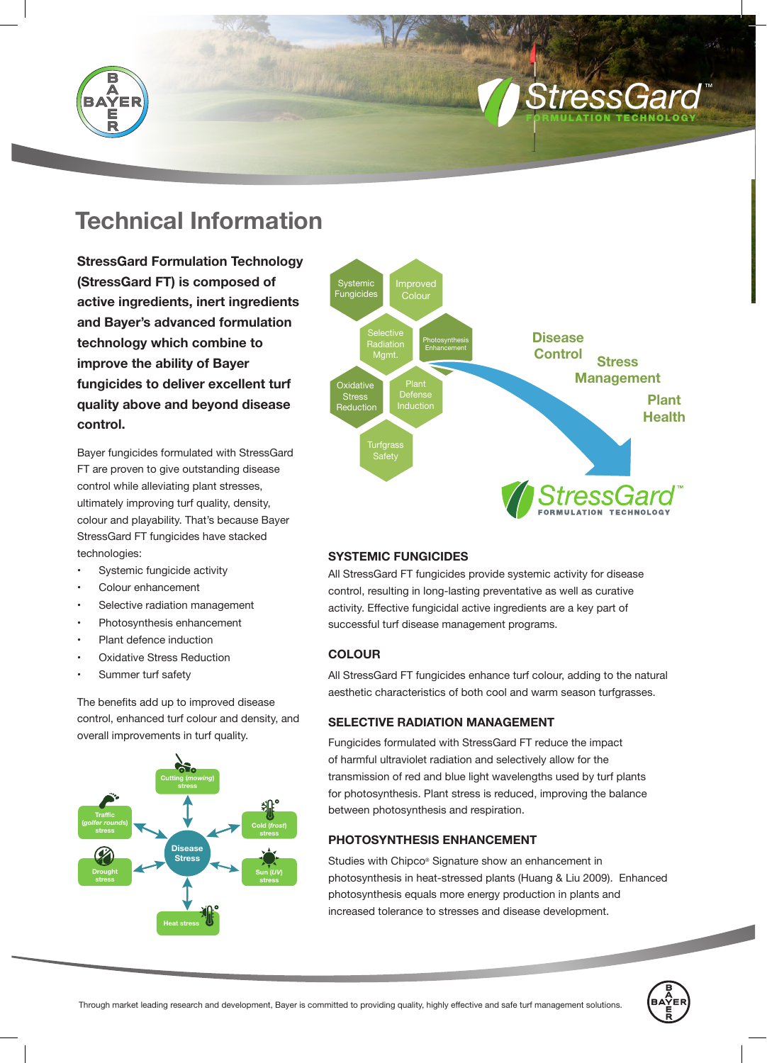

# **Technical Information**

**StressGard Formulation Technology (StressGard FT) is composed of active ingredients, inert ingredients and Bayer's advanced formulation technology which combine to improve the ability of Bayer fungicides to deliver excellent turf quality above and beyond disease control.**

Bayer fungicides formulated with StressGard FT are proven to give outstanding disease control while alleviating plant stresses, ultimately improving turf quality, density, colour and playability. That's because Bayer StressGard FT fungicides have stacked technologies:

- Systemic fungicide activity
- Colour enhancement
- Selective radiation management
- Photosynthesis enhancement
- Plant defence induction
- **Oxidative Stress Reduction**
- Summer turf safety

The benefits add up to improved disease control, enhanced turf colour and density, and overall improvements in turf quality.





*<i>Stress* 

FORMULATION TECHNOLOGY

TM

## **SYSTEMIC FUNGICIDES**

All StressGard FT fungicides provide systemic activity for disease control, resulting in long-lasting preventative as well as curative activity. Effective fungicidal active ingredients are a key part of successful turf disease management programs.

## **COLOUR**

All StressGard FT fungicides enhance turf colour, adding to the natural aesthetic characteristics of both cool and warm season turfgrasses.

## **SELECTIVE RADIATION MANAGEMENT**

Fungicides formulated with StressGard FT reduce the impact of harmful ultraviolet radiation and selectively allow for the transmission of red and blue light wavelengths used by turf plants for photosynthesis. Plant stress is reduced, improving the balance between photosynthesis and respiration.

# **PHOTOSYNTHESIS ENHANCEMENT**

Studies with Chipco® Signature show an enhancement in photosynthesis in heat-stressed plants (Huang & Liu 2009). Enhanced photosynthesis equals more energy production in plants and increased tolerance to stresses and disease development.